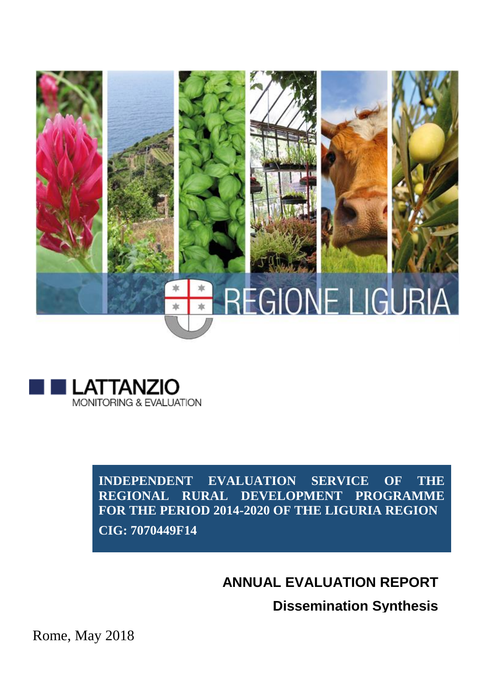



**INDEPENDENT EVALUATION SERVICE OF THE REGIONAL RURAL DEVELOPMENT PROGRAMME FOR THE PERIOD 2014-2020 OF THE LIGURIA REGION CIG: 7070449F14**

**ANNUAL EVALUATION REPORT**

**Dissemination Synthesis**

Rome, May 2018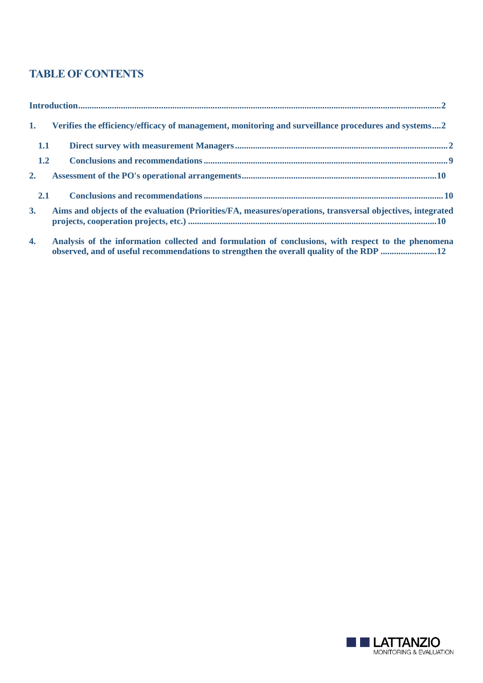# **TABLE OF CONTENTS**

| 1.  | Verifies the efficiency/efficacy of management, monitoring and surveillance procedures and systems2                   |
|-----|-----------------------------------------------------------------------------------------------------------------------|
| 1.1 |                                                                                                                       |
| 1.2 |                                                                                                                       |
| 2.  |                                                                                                                       |
| 2.1 |                                                                                                                       |
| 3.  | Aims and objects of the evaluation (Priorities/FA, measures/operations, transversal objectives, integrated            |
|     | a construction of the construction of the construction of the construction of the construction of the construction of |

**4. [Analysis of the information collected and formulation of conclusions, with respect to the phenomena](#page-12-0)  [observed, and of useful recommendations to strengthen the overall quality of the RDP](#page-12-0) .........................12**

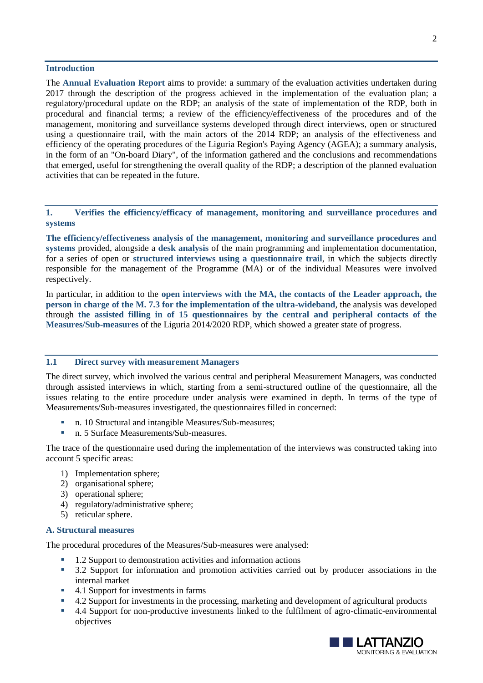#### <span id="page-2-0"></span>**Introduction**

The **Annual Evaluation Report** aims to provide: a summary of the evaluation activities undertaken during 2017 through the description of the progress achieved in the implementation of the evaluation plan; a regulatory/procedural update on the RDP; an analysis of the state of implementation of the RDP, both in procedural and financial terms; a review of the efficiency/effectiveness of the procedures and of the management, monitoring and surveillance systems developed through direct interviews, open or structured using a questionnaire trail, with the main actors of the 2014 RDP; an analysis of the effectiveness and efficiency of the operating procedures of the Liguria Region's Paying Agency (AGEA); a summary analysis, in the form of an "On-board Diary", of the information gathered and the conclusions and recommendations that emerged, useful for strengthening the overall quality of the RDP; a description of the planned evaluation activities that can be repeated in the future.

<span id="page-2-1"></span>**1. Verifies the efficiency/efficacy of management, monitoring and surveillance procedures and systems**

**The efficiency/effectiveness analysis of the management, monitoring and surveillance procedures and systems** provided, alongside a **desk analysis** of the main programming and implementation documentation, for a series of open or **structured interviews using a questionnaire trail**, in which the subjects directly responsible for the management of the Programme (MA) or of the individual Measures were involved respectively.

In particular, in addition to the **open interviews with the MA, the contacts of the Leader approach, the person in charge of the M. 7.3 for the implementation of the ultra-wideband**, the analysis was developed through **the assisted filling in of 15 questionnaires by the central and peripheral contacts of the Measures/Sub-measures** of the Liguria 2014/2020 RDP, which showed a greater state of progress.

#### <span id="page-2-2"></span>**1.1 Direct survey with measurement Managers**

The direct survey, which involved the various central and peripheral Measurement Managers, was conducted through assisted interviews in which, starting from a semi-structured outline of the questionnaire, all the issues relating to the entire procedure under analysis were examined in depth. In terms of the type of Measurements/Sub-measures investigated, the questionnaires filled in concerned:

- n. 10 Structural and intangible Measures/Sub-measures;
- n. 5 Surface Measurements/Sub-measures.

The trace of the questionnaire used during the implementation of the interviews was constructed taking into account 5 specific areas:

- 1) Implementation sphere;
- 2) organisational sphere;
- 3) operational sphere;
- 4) regulatory/administrative sphere;
- 5) reticular sphere.
- **A. Structural measures**

The procedural procedures of the Measures/Sub-measures were analysed:

- 1.2 Support to demonstration activities and information actions
- 3.2 Support for information and promotion activities carried out by producer associations in the internal market
- 4.1 Support for investments in farms
- 4.2 Support for investments in the processing, marketing and development of agricultural products
- 4.4 Support for non-productive investments linked to the fulfilment of agro-climatic-environmental objectives

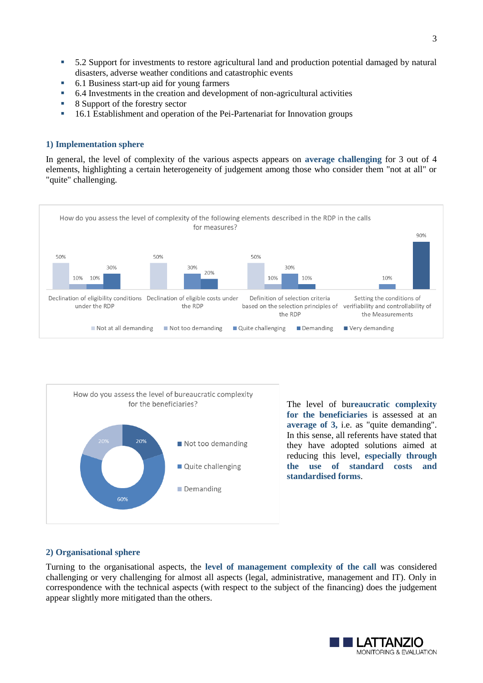- 5.2 Support for investments to restore agricultural land and production potential damaged by natural disasters, adverse weather conditions and catastrophic events
- 6.1 Business start-up aid for young farmers
- 6.4 Investments in the creation and development of non-agricultural activities
- 8 Support of the forestry sector
- <sup>16.1</sup> Establishment and operation of the Pei-Partenariat for Innovation groups

# **1) Implementation sphere**

In general, the level of complexity of the various aspects appears on **average challenging** for 3 out of 4 elements, highlighting a certain heterogeneity of judgement among those who consider them "not at all" or "quite" challenging.





The level of bu**reaucratic complexity for the beneficiaries** is assessed at an **average of 3,** i.e. as "quite demanding". In this sense, all referents have stated that they have adopted solutions aimed at reducing this level, **especially through the use of standard costs and standardised forms**.

## **2) Organisational sphere**

Turning to the organisational aspects, the **level of management complexity of the call** was considered challenging or very challenging for almost all aspects (legal, administrative, management and IT). Only in correspondence with the technical aspects (with respect to the subject of the financing) does the judgement appear slightly more mitigated than the others.

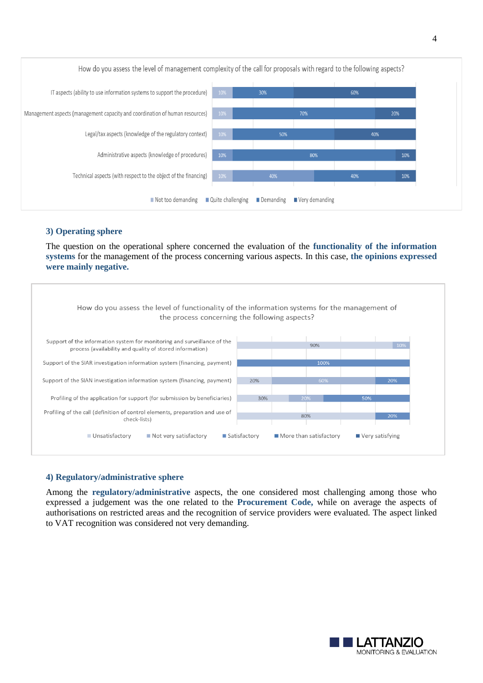

## **3) Operating sphere**

The question on the operational sphere concerned the evaluation of the **functionality of the information systems** for the management of the process concerning various aspects. In this case, **the opinions expressed were mainly negative.**



## **4) Regulatory/administrative sphere**

Among the **regulatory/administrative** aspects, the one considered most challenging among those who expressed a judgement was the one related to the **Procurement Code,** while on average the aspects of authorisations on restricted areas and the recognition of service providers were evaluated. The aspect linked to VAT recognition was considered not very demanding.



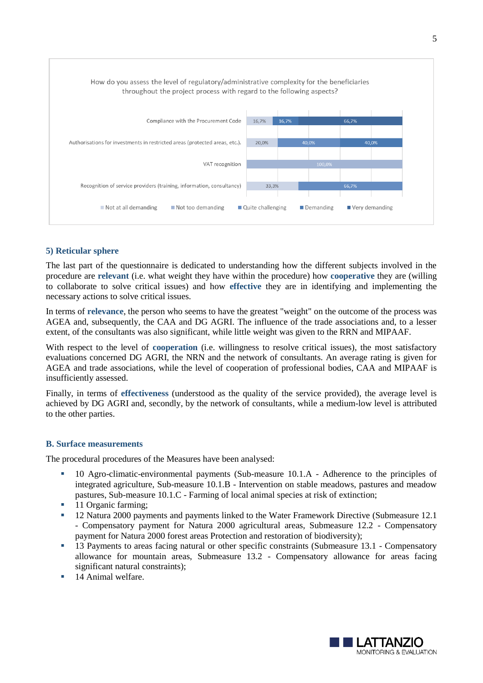

# **5) Reticular sphere**

The last part of the questionnaire is dedicated to understanding how the different subjects involved in the procedure are **relevant** (i.e. what weight they have within the procedure) how **cooperative** they are (willing to collaborate to solve critical issues) and how **effective** they are in identifying and implementing the necessary actions to solve critical issues.

In terms of **relevance**, the person who seems to have the greatest "weight" on the outcome of the process was AGEA and, subsequently, the CAA and DG AGRI. The influence of the trade associations and, to a lesser extent, of the consultants was also significant, while little weight was given to the RRN and MIPAAF.

With respect to the level of **cooperation** (i.e. willingness to resolve critical issues), the most satisfactory evaluations concerned DG AGRI, the NRN and the network of consultants. An average rating is given for AGEA and trade associations, while the level of cooperation of professional bodies, CAA and MIPAAF is insufficiently assessed.

Finally, in terms of **effectiveness** (understood as the quality of the service provided), the average level is achieved by DG AGRI and, secondly, by the network of consultants, while a medium-low level is attributed to the other parties.

## **B. Surface measurements**

The procedural procedures of the Measures have been analysed:

- <sup>10</sup> Agro-climatic-environmental payments (Sub-measure 10.1.A Adherence to the principles of integrated agriculture, Sub-measure 10.1.B - Intervention on stable meadows, pastures and meadow pastures, Sub-measure 10.1.C - Farming of local animal species at risk of extinction;
- 11 Organic farming;
- <sup>12</sup> Natura 2000 payments and payments linked to the Water Framework Directive (Submeasure 12.1 - Compensatory payment for Natura 2000 agricultural areas, Submeasure 12.2 - Compensatory payment for Natura 2000 forest areas Protection and restoration of biodiversity);
- <sup>13</sup> Payments to areas facing natural or other specific constraints (Submeasure 13.1 Compensatory allowance for mountain areas, Submeasure 13.2 - Compensatory allowance for areas facing significant natural constraints);
- 14 Animal welfare.

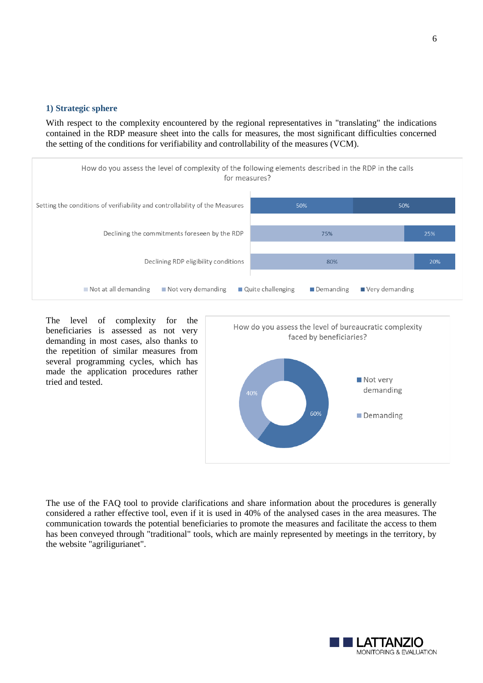## **1) Strategic sphere**

With respect to the complexity encountered by the regional representatives in "translating" the indications contained in the RDP measure sheet into the calls for measures, the most significant difficulties concerned the setting of the conditions for verifiability and controllability of the measures (VCM).



The level of complexity for the beneficiaries is assessed as not very demanding in most cases, also thanks to the repetition of similar measures from several programming cycles, which has made the application procedures rather tried and tested.



The use of the FAQ tool to provide clarifications and share information about the procedures is generally considered a rather effective tool, even if it is used in 40% of the analysed cases in the area measures. The communication towards the potential beneficiaries to promote the measures and facilitate the access to them has been conveyed through "traditional" tools, which are mainly represented by meetings in the territory, by the website "agriligurianet".

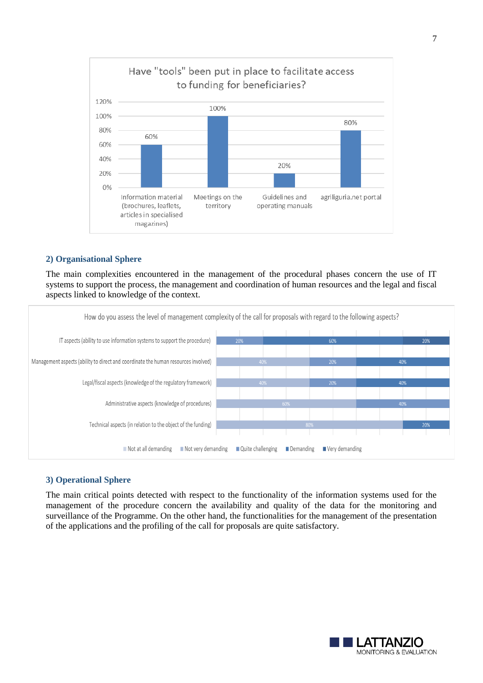

## **2) Organisational Sphere**

The main complexities encountered in the management of the procedural phases concern the use of IT systems to support the process, the management and coordination of human resources and the legal and fiscal aspects linked to knowledge of the context.



#### **3) Operational Sphere**

The main critical points detected with respect to the functionality of the information systems used for the management of the procedure concern the availability and quality of the data for the monitoring and surveillance of the Programme. On the other hand, the functionalities for the management of the presentation of the applications and the profiling of the call for proposals are quite satisfactory.



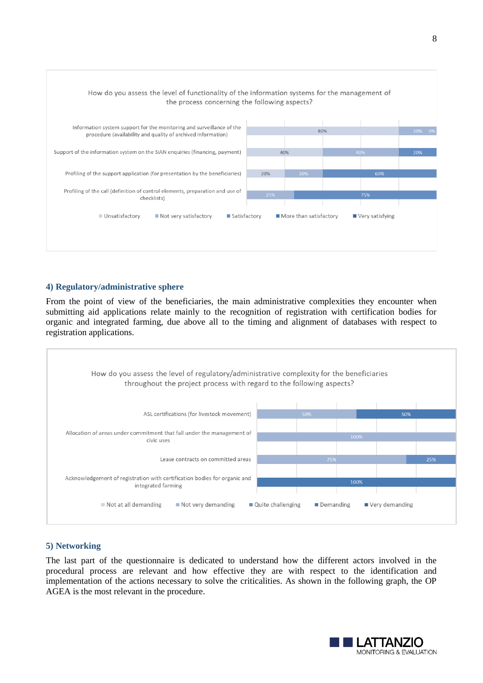

## **4) Regulatory/administrative sphere**

From the point of view of the beneficiaries, the main administrative complexities they encounter when submitting aid applications relate mainly to the recognition of registration with certification bodies for organic and integrated farming, due above all to the timing and alignment of databases with respect to registration applications.



## **5) Networking**

The last part of the questionnaire is dedicated to understand how the different actors involved in the procedural process are relevant and how effective they are with respect to the identification and implementation of the actions necessary to solve the criticalities. As shown in the following graph, the OP AGEA is the most relevant in the procedure.

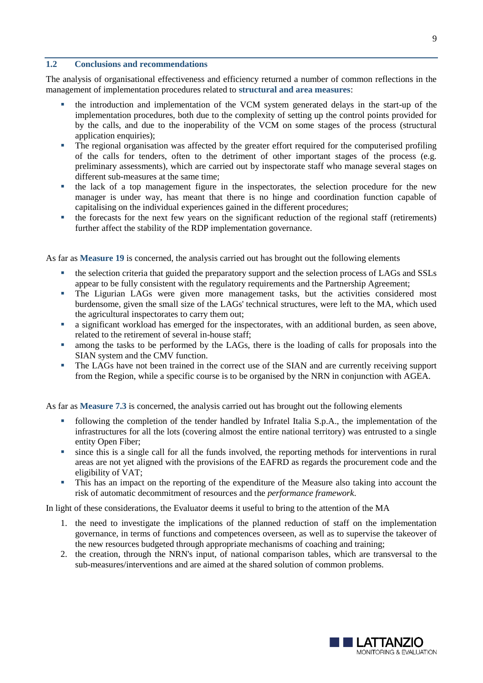#### <span id="page-9-0"></span>**1.2 Conclusions and recommendations**

The analysis of organisational effectiveness and efficiency returned a number of common reflections in the management of implementation procedures related to **structural and area measures**:

- the introduction and implementation of the VCM system generated delays in the start-up of the implementation procedures, both due to the complexity of setting up the control points provided for by the calls, and due to the inoperability of the VCM on some stages of the process (structural application enquiries);
- The regional organisation was affected by the greater effort required for the computerised profiling of the calls for tenders, often to the detriment of other important stages of the process (e.g. preliminary assessments), which are carried out by inspectorate staff who manage several stages on different sub-measures at the same time;
- the lack of a top management figure in the inspectorates, the selection procedure for the new manager is under way, has meant that there is no hinge and coordination function capable of capitalising on the individual experiences gained in the different procedures;
- $\blacksquare$  the forecasts for the next few years on the significant reduction of the regional staff (retirements) further affect the stability of the RDP implementation governance.

As far as **Measure 19** is concerned, the analysis carried out has brought out the following elements

- the selection criteria that guided the preparatory support and the selection process of LAGs and SSLs appear to be fully consistent with the regulatory requirements and the Partnership Agreement;
- The Ligurian LAGs were given more management tasks, but the activities considered most burdensome, given the small size of the LAGs' technical structures, were left to the MA, which used the agricultural inspectorates to carry them out;
- a significant workload has emerged for the inspectorates, with an additional burden, as seen above, related to the retirement of several in-house staff;
- among the tasks to be performed by the LAGs, there is the loading of calls for proposals into the SIAN system and the CMV function.
- The LAGs have not been trained in the correct use of the SIAN and are currently receiving support from the Region, while a specific course is to be organised by the NRN in conjunction with AGEA.

As far as **Measure 7.3** is concerned, the analysis carried out has brought out the following elements

- following the completion of the tender handled by Infratel Italia S.p.A., the implementation of the infrastructures for all the lots (covering almost the entire national territory) was entrusted to a single entity Open Fiber;
- since this is a single call for all the funds involved, the reporting methods for interventions in rural areas are not yet aligned with the provisions of the EAFRD as regards the procurement code and the eligibility of VAT;
- This has an impact on the reporting of the expenditure of the Measure also taking into account the risk of automatic decommitment of resources and the *performance framework*.

In light of these considerations, the Evaluator deems it useful to bring to the attention of the MA

- 1. the need to investigate the implications of the planned reduction of staff on the implementation governance, in terms of functions and competences overseen, as well as to supervise the takeover of the new resources budgeted through appropriate mechanisms of coaching and training;
- 2. the creation, through the NRN's input, of national comparison tables, which are transversal to the sub-measures/interventions and are aimed at the shared solution of common problems.

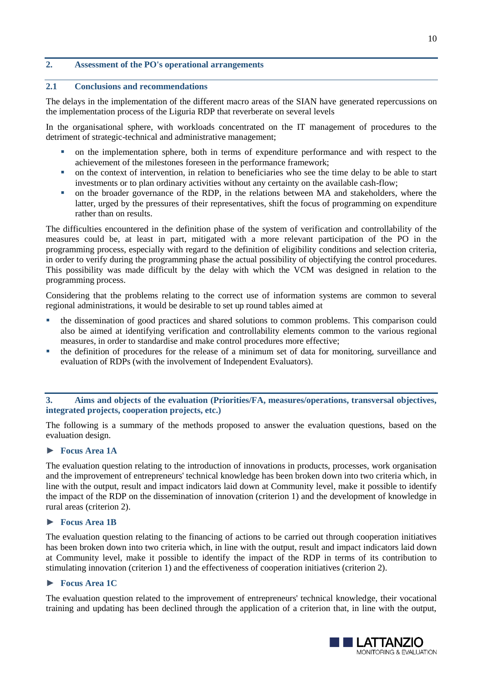## <span id="page-10-0"></span>**2. Assessment of the PO's operational arrangements**

## <span id="page-10-1"></span>**2.1 Conclusions and recommendations**

The delays in the implementation of the different macro areas of the SIAN have generated repercussions on the implementation process of the Liguria RDP that reverberate on several levels

In the organisational sphere, with workloads concentrated on the IT management of procedures to the detriment of strategic-technical and administrative management;

- on the implementation sphere, both in terms of expenditure performance and with respect to the achievement of the milestones foreseen in the performance framework;
- on the context of intervention, in relation to beneficiaries who see the time delay to be able to start investments or to plan ordinary activities without any certainty on the available cash-flow;
- on the broader governance of the RDP, in the relations between MA and stakeholders, where the latter, urged by the pressures of their representatives, shift the focus of programming on expenditure rather than on results.

The difficulties encountered in the definition phase of the system of verification and controllability of the measures could be, at least in part, mitigated with a more relevant participation of the PO in the programming process, especially with regard to the definition of eligibility conditions and selection criteria, in order to verify during the programming phase the actual possibility of objectifying the control procedures. This possibility was made difficult by the delay with which the VCM was designed in relation to the programming process.

Considering that the problems relating to the correct use of information systems are common to several regional administrations, it would be desirable to set up round tables aimed at

- the dissemination of good practices and shared solutions to common problems. This comparison could also be aimed at identifying verification and controllability elements common to the various regional measures, in order to standardise and make control procedures more effective;
- the definition of procedures for the release of a minimum set of data for monitoring, surveillance and evaluation of RDPs (with the involvement of Independent Evaluators).

#### <span id="page-10-2"></span>**3. Aims and objects of the evaluation (Priorities/FA, measures/operations, transversal objectives, integrated projects, cooperation projects, etc.)**

The following is a summary of the methods proposed to answer the evaluation questions, based on the evaluation design.

## ► **Focus Area 1A**

The evaluation question relating to the introduction of innovations in products, processes, work organisation and the improvement of entrepreneurs' technical knowledge has been broken down into two criteria which, in line with the output, result and impact indicators laid down at Community level, make it possible to identify the impact of the RDP on the dissemination of innovation (criterion 1) and the development of knowledge in rural areas (criterion 2).

## ► **Focus Area 1B**

The evaluation question relating to the financing of actions to be carried out through cooperation initiatives has been broken down into two criteria which, in line with the output, result and impact indicators laid down at Community level, make it possible to identify the impact of the RDP in terms of its contribution to stimulating innovation (criterion 1) and the effectiveness of cooperation initiatives (criterion 2).

#### ► **Focus Area 1C**

The evaluation question related to the improvement of entrepreneurs' technical knowledge, their vocational training and updating has been declined through the application of a criterion that, in line with the output,

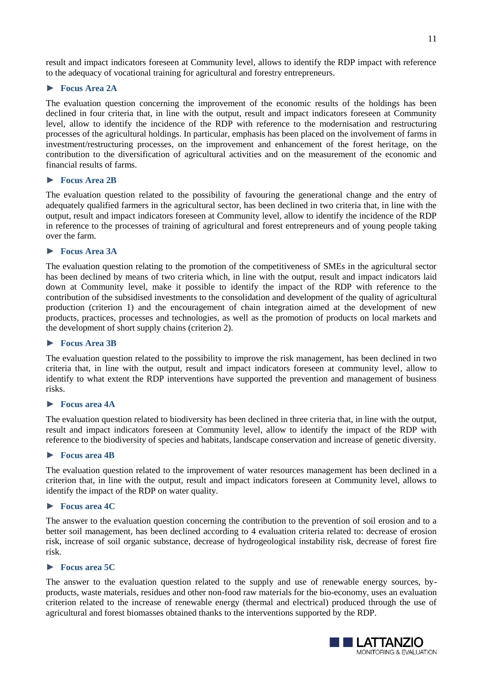result and impact indicators foreseen at Community level, allows to identify the RDP impact with reference to the adequacy of vocational training for agricultural and forestry entrepreneurs.

## ► **Focus Area 2A**

The evaluation question concerning the improvement of the economic results of the holdings has been declined in four criteria that, in line with the output, result and impact indicators foreseen at Community level, allow to identify the incidence of the RDP with reference to the modernisation and restructuring processes of the agricultural holdings. In particular, emphasis has been placed on the involvement of farms in investment/restructuring processes, on the improvement and enhancement of the forest heritage, on the contribution to the diversification of agricultural activities and on the measurement of the economic and financial results of farms.

# ► **Focus Area 2B**

The evaluation question related to the possibility of favouring the generational change and the entry of adequately qualified farmers in the agricultural sector, has been declined in two criteria that, in line with the output, result and impact indicators foreseen at Community level, allow to identify the incidence of the RDP in reference to the processes of training of agricultural and forest entrepreneurs and of young people taking over the farm.

# ► **Focus Area 3A**

The evaluation question relating to the promotion of the competitiveness of SMEs in the agricultural sector has been declined by means of two criteria which, in line with the output, result and impact indicators laid down at Community level, make it possible to identify the impact of the RDP with reference to the contribution of the subsidised investments to the consolidation and development of the quality of agricultural production (criterion 1) and the encouragement of chain integration aimed at the development of new products, practices, processes and technologies, as well as the promotion of products on local markets and the development of short supply chains (criterion 2).

## ► **Focus Area 3B**

The evaluation question related to the possibility to improve the risk management, has been declined in two criteria that, in line with the output, result and impact indicators foreseen at community level, allow to identify to what extent the RDP interventions have supported the prevention and management of business risks.

## ► **Focus area 4A**

The evaluation question related to biodiversity has been declined in three criteria that, in line with the output, result and impact indicators foreseen at Community level, allow to identify the impact of the RDP with reference to the biodiversity of species and habitats, landscape conservation and increase of genetic diversity.

## ► **Focus area 4B**

The evaluation question related to the improvement of water resources management has been declined in a criterion that, in line with the output, result and impact indicators foreseen at Community level, allows to identify the impact of the RDP on water quality.

## ► **Focus area 4C**

The answer to the evaluation question concerning the contribution to the prevention of soil erosion and to a better soil management, has been declined according to 4 evaluation criteria related to: decrease of erosion risk, increase of soil organic substance, decrease of hydrogeological instability risk, decrease of forest fire risk.

## ► **Focus area 5C**

The answer to the evaluation question related to the supply and use of renewable energy sources, byproducts, waste materials, residues and other non-food raw materials for the bio-economy, uses an evaluation criterion related to the increase of renewable energy (thermal and electrical) produced through the use of agricultural and forest biomasses obtained thanks to the interventions supported by the RDP.

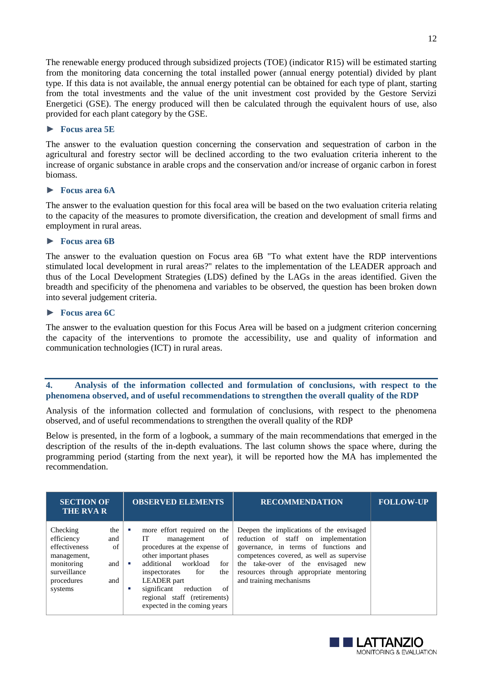The renewable energy produced through subsidized projects (TOE) (indicator R15) will be estimated starting from the monitoring data concerning the total installed power (annual energy potential) divided by plant type. If this data is not available, the annual energy potential can be obtained for each type of plant, starting from the total investments and the value of the unit investment cost provided by the Gestore Servizi Energetici (GSE). The energy produced will then be calculated through the equivalent hours of use, also provided for each plant category by the GSE.

## ► **Focus area 5E**

The answer to the evaluation question concerning the conservation and sequestration of carbon in the agricultural and forestry sector will be declined according to the two evaluation criteria inherent to the increase of organic substance in arable crops and the conservation and/or increase of organic carbon in forest biomass.

# ► **Focus area 6A**

The answer to the evaluation question for this focal area will be based on the two evaluation criteria relating to the capacity of the measures to promote diversification, the creation and development of small firms and employment in rural areas.

# ► **Focus area 6B**

The answer to the evaluation question on Focus area 6B "To what extent have the RDP interventions stimulated local development in rural areas?" relates to the implementation of the LEADER approach and thus of the Local Development Strategies (LDS) defined by the LAGs in the areas identified. Given the breadth and specificity of the phenomena and variables to be observed, the question has been broken down into several judgement criteria.

# ► **Focus area 6C**

The answer to the evaluation question for this Focus Area will be based on a judgment criterion concerning the capacity of the interventions to promote the accessibility, use and quality of information and communication technologies (ICT) in rural areas.

# <span id="page-12-0"></span>**4. Analysis of the information collected and formulation of conclusions, with respect to the phenomena observed, and of useful recommendations to strengthen the overall quality of the RDP**

Analysis of the information collected and formulation of conclusions, with respect to the phenomena observed, and of useful recommendations to strengthen the overall quality of the RDP

Below is presented, in the form of a logbook, a summary of the main recommendations that emerged in the description of the results of the in-depth evaluations. The last column shows the space where, during the programming period (starting from the next year), it will be reported how the MA has implemented the recommendation.

| <b>SECTION OF</b><br><b>THE RVA R</b>                                                                                                           | <b>OBSERVED ELEMENTS</b>                                                                                                                                                                                                                                                                                                       | <b>RECOMMENDATION</b>                                                                                                                                                                                                                                                              | <b>FOLLOW-UP</b> |
|-------------------------------------------------------------------------------------------------------------------------------------------------|--------------------------------------------------------------------------------------------------------------------------------------------------------------------------------------------------------------------------------------------------------------------------------------------------------------------------------|------------------------------------------------------------------------------------------------------------------------------------------------------------------------------------------------------------------------------------------------------------------------------------|------------------|
| Checking<br>the<br>efficiency<br>and<br>effectiveness<br>of<br>management,<br>monitoring<br>and<br>surveillance<br>procedures<br>and<br>systems | more effort required on the<br><b>COL</b><br>IТ<br>of<br>management<br>procedures at the expense of<br>other important phases<br>additional workload<br>for<br>m.<br>for<br>the<br>inspectorates<br><b>LEADER</b> part<br>significant<br>of<br>reduction<br>m.<br>regional staff (retirements)<br>expected in the coming years | Deepen the implications of the envisaged<br>reduction of staff on implementation<br>governance, in terms of functions and<br>competences covered, as well as supervise<br>the take-over of the envisaged new<br>resources through appropriate mentoring<br>and training mechanisms |                  |